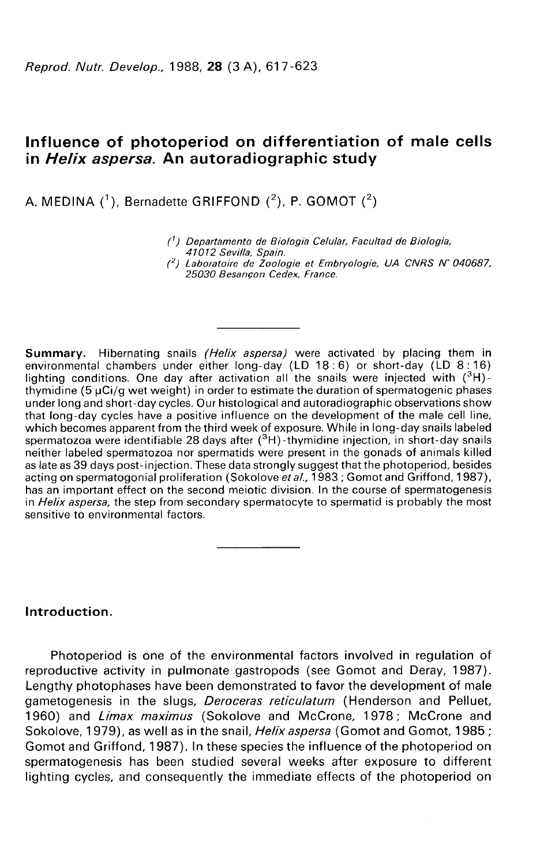# Influence of photoperiod on differentiation of male cells in Helix aspersa. An autoradiographic study

A. MEDINA  $(1)$ , Bernadette GRIFFOND  $(2)$ , P. GOMOT  $(2)$ 

Summary. Hibernating snails (Helix aspersa) were activated by placing them in environmental chambers under either long-day (LD 18:6) or short-day (LD 8:16) **Summary.** Hibernating snails *(Helix aspersa)* were activated by placing them in<br>environmental chambers under either long-day (LD 18:6) or short-day (LD 8:16)<br>lighting conditions. One day after activation all the snails environmental chambers under either long-day (LD 18:6) or short-day (LD 8:16)<br>lighting conditions. One day after activation all the snails were injected with  $(^3H)$ -<br>thymidine (5 µCi/g wet weight) in order to estimate the under long and short-day cycles. Our histological and autoradiographic observations show that long-day cycles have a positive influence on the development of the male cell line, which becomes apparent from the third week of exposure. While in long-day snails labeled<br>spermatozoa were identifiable 28 days after  $(^3H)$ -thymidine injection, in short-day snails **Summary.** Hibernating snails (Helix aspersa) were activated by placing them in<br>environmental chambers under either long-day (LD 18:6) or short-day (LD 8:16)<br>lighting conditions. One day after activation all the snails we neither labeled spermatozoa nor spermatids were present in the gonads of animals killed as late as 39 days post-injection. These data strongly suggest that the photoperiod, besides acting on spermatogonial proliferation (Sokolove et al., 1983; Gomot and Griffond, 1987), has an important effect on the second meiotic division. In the course of spermatogenesis in *Helix aspersa*, the step from secondary spermatocyte to spermatid is probably the most sensitive to environmental factors.

Introduction.

Photoperiod is one of the environmental factors involved in regulation of reproductive activity in pulmonate gastropods (see Gomot and Deray, 1987). Lengthy photophases have been demonstrated to favor the development of male gametogenesis in the slugs, Deroceras reticulatum (Henderson and Pelluet, 1960) and Limax maximus (Sokolove and McCrone, 1978; McCrone and Sokolove, 1979), as well as in the snail, Helix aspersa (Gomot and Gomot, 1985; Gomot and Griffond, 1987). In these species the influence of the photoperiod on spermatogenesis has been studied several weeks after exposure to different lighting cycles, and consequently the immediate effects of the photoperiod on

 $\binom{1}{1}$  Departamento de Biologia Celular, Facultad de Biologia,<br>41012 Sevilla, Spain.

<sup>(2)</sup> Laboratoire de Zoologie et Embryologie, UA CNRS N° 040687, 25030 Besançon Cedex, France.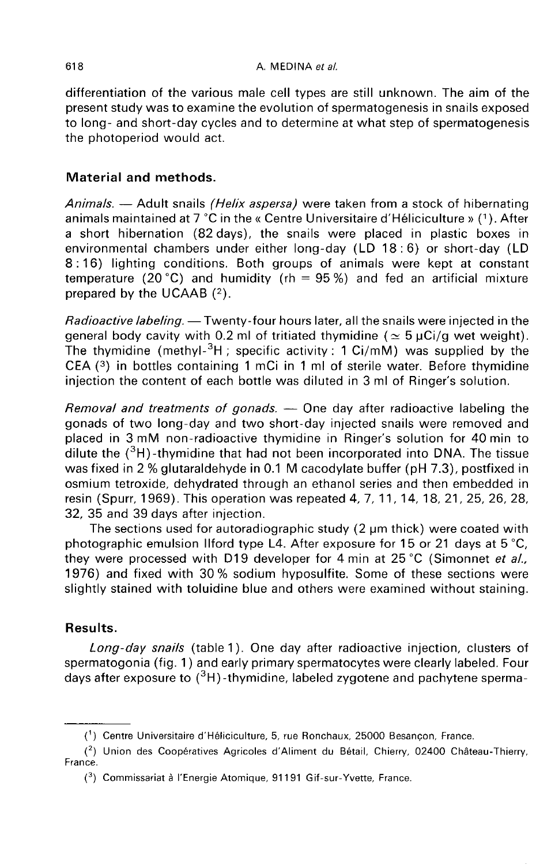differentiation of the various male cell types are still unknown. The aim of the present study was to examine the evolution of spermatogenesis in snails exposed to long- and short-day cycles and to determine at what step of spermatogenesis the photoperiod would act.

# Material and methods.

Animals. — Adult snails *(Helix aspersa)* were taken from a stock of hibernating<br>animals maintained at 7 °C in the « Centre Universitaire d'Héliciculture » (1), After<br>a short, hibernation, (82 days), the snails were placed a short hibernation (82 days), the snails were placed in plastic boxes in environmental chambers under either long-day (LD 18:6) or short-day (LD 8 : 16) lighting conditions. Both groups of animals were kept at constant temperature (20 $^{\circ}$ C) and humidity (rh = 95%) and fed an artificial mixture prepared by the UCAAB  $(2)$ .

Radioactive labeling. - Twenty-four hours later, all the snails were injected in the general body cavity with 0.2 ml of tritiated thymidine ( $\approx$  5  $\mu$ Ci/g wet weight). The thymidine (methyl- ${}^{3}H$ ; specific activity: 1 Ci/mM) was supplied by the CEA (3) in bottles containing 1 mCi in 1 ml of sterile water. Before thymidine injection the content of each bottle was diluted in 3 ml of Ringer's solution.

Removal and treatments of gonads.  $-$  One day after radioactive labeling the gonads of two long-day and two short-day injected snails were removed and placed in 3 mM non-radioactive thymidine in Ringer's solution for 40 min to dilute the  $(^{3}H)$ -thymidine that had not been incorporated into DNA. The tissue was fixed in 2 % glutaraldehyde in 0.1 M cacodylate buffer (pH 7.3), postfixed in osmium tetroxide, dehydrated through an ethanol series and then embedded in resin (Spurr, 1969). This operation was repeated 4, 7, 11, 14, 18, 21, 25, 26, 28, 32, 35 and 39 days after injection.

The sections used for autoradiographic study  $(2 \mu m)$  thick) were coated with photographic emulsion Ilford type L4. After exposure for 15 or 21 days at 5 °C. they were processed with D19 developer for 4 min at  $25\degree C$  (Simonnet et al., 1976) and fixed with 30 % sodium hyposulfite. Some of these sections were slightly stained with toluidine blue and others were examined without staining.

# Results.

Long-day snails (table 1). One day after radioactive injection, clusters of spermatogonia (fig. 1) and early primary spermatocytes were clearly labeled. Four<br>days after exposure to (<sup>3</sup>H)-thymidine, labeled zygotene and pachytene sperma-1976) and fixed with 30 % sodium hyposulfite. Some of these sections were slightly stained with toluidine blue and others were examined without staining.<br>Results.<br>*Long-day snails* (table 1). One day after radioactive inj

<sup>(1)</sup> Centre Universitaire d'H61iciculture, 5, rue Ronchaux, 25000 Besangon, France.

<sup>(2)</sup> Union des Cooperatives Agricoles d'Aliment du B6tail, Chierry, 02400 Ch8teau-Thierry, France.

<sup>(3)</sup> Commissariat à I'Energie Atomique, 91191 Gif-sur-Yvette, France.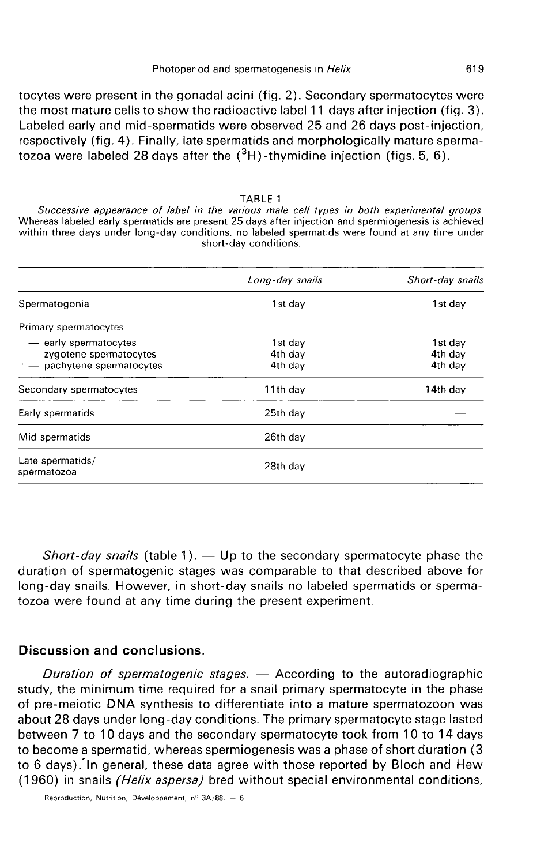tocytes were present in the gonadal acini (fig. 2). Secondary spermatocytes were the most mature cells to show the radioactive label 11 days after injection (fig. 3). Labeled early and mid-spermatids were observed 25 and 26 days post-injection, respectively (fig. 4). Finally, late spermatids and morphologically mature sperma-<br>tozoa were labeled 28 days after the  $(^{3}H)$ -thymidine injection (figs. 5, 6). Photoperiod and spermatogenesis in *Helix*<br>tocytes were present in the gonadal acini (fig. 2). Secondary spermatocytes<br>the most mature cells to show the radioactive label 11 days after injection (f<br>Labeled early and mid-sp

#### **TABLE 1**

Successive appearance of label in the various male cell types in both experimental groups. Whereas labeled early spermatids are present 25 days after injection and spermiogenesis is achieved within three days under long-day conditions, no labeled spermatids were found at any time under short-day conditions.

|                                                                                        | Long-day snails               | Short-day snails              |
|----------------------------------------------------------------------------------------|-------------------------------|-------------------------------|
| Spermatogonia                                                                          | 1st day                       | 1st day                       |
| Primary spermatocytes                                                                  |                               |                               |
| - early spermatocytes<br>- zygotene spermatocytes<br>$\dot{z}$ pachytene spermatocytes | 1st dav<br>4th dav<br>4th day | 1st dav<br>4th day<br>4th day |
| Secondary spermatocytes                                                                | 11th day                      | 14th day                      |
| Early spermatids                                                                       | 25th day                      |                               |
| Mid spermatids                                                                         | 26th day                      |                               |
| Late spermatids/<br>spermatozoa                                                        | 28th day                      |                               |

Short-day snails (table 1).  $-$  Up to the secondary spermatocyte phase the duration of spermatogenic stages was comparable to that described above for long-day snails. However, in short-day snails no labeled spermatids or spermatozoa were found at any time during the present experiment.

### Discussion and conclusions.

Duration of spermatogenic stages.  $-$  According to the autoradiographic study, the minimum time required for a snail primary spermatocyte in the phase of pre-meiotic DNA synthesis to differentiate into a mature spermatozoon was about 28 days under long-day conditions. The primary spermatocyte stage lasted between 7 to 10 days and the secondary spermatocyte took from 10 to 14 days<br>to become a spermatid, whereas spermiogenesis was a phase of short duration (3 to 6 days). In general, these data agree with those reported by Bloch and Hew (1960) in snails (Helix aspersa) bred without special environmental conditions,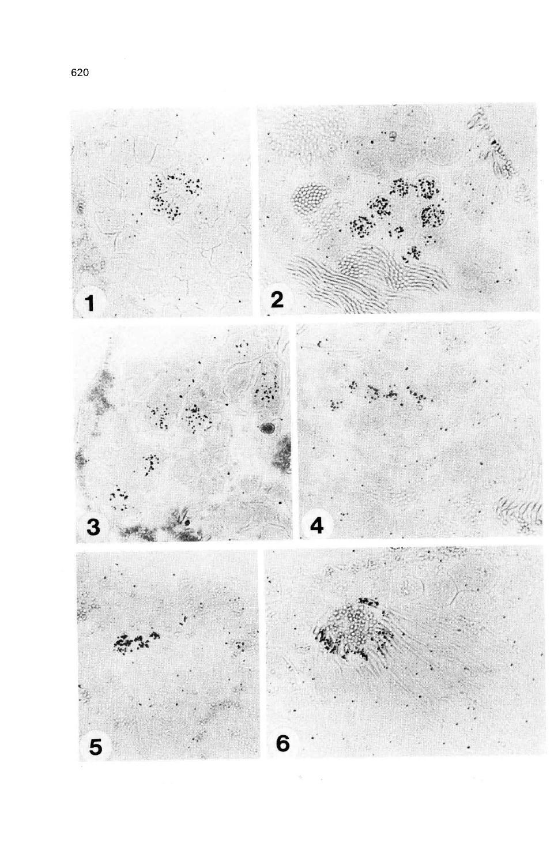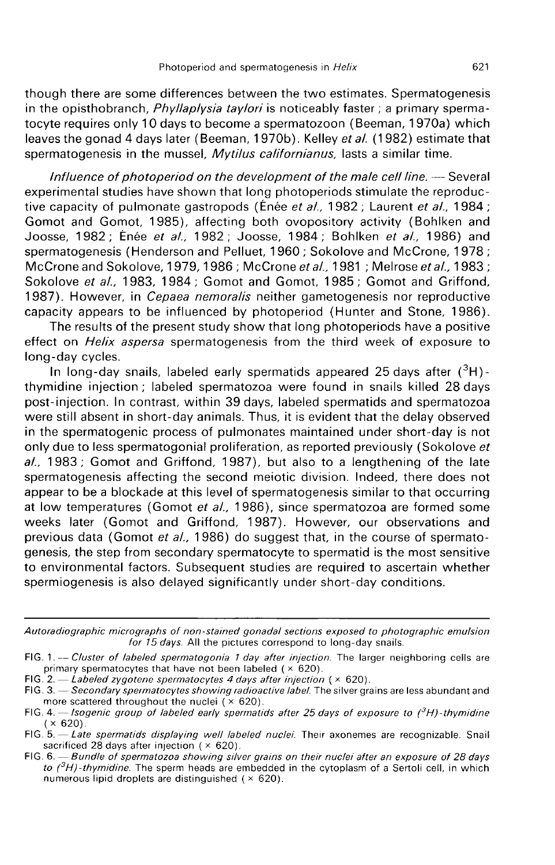though there are some differences between the two estimates. Spermatogenesis in the opisthobranch, *Phyllaplysia taylori* is noticeably faster; a primary spermatocyte requires only 10 days to become a spermatozoon (Beeman, 1970a) which leaves the gonad 4 days later (Beeman, 1970b). Kelley et al. (1982) estimate that spermatogenesis in the mussel, Mytilus californianus, lasts a similar time.

Influence of photoperiod on the development of the male cell line. - Several experimental studies have shown that long photoperiods stimulate the reproductive capacity of pulmonate gastropods (Énée et al., 1982; Laurent et al., 1984; Gomot and Gomot, 1985), affecting both ovopository activity (Bohlken and Joosse, 1982; Enée et al., 1982; Joosse, 1984; Bohlken et al., 1986) and spermatogenesis (Henderson and Pelluet, 1960 ; Sokolove and McCrone, 1978 ; McCrone and Sokolove, 1979, 1986 ; McCrone et al., 1981 ; Melrose et al., 1983 ; Sokolove et al., 1983, 1984; Gomot and Gomot, 1985; Gomot and Griffond, 1987). However, in *Cepaea nemoralis* neither gametogenesis nor reproductive capacity appears to be influenced by photoperiod (Hunter and Stone, 1986).

The results of the present study show that long photoperiods have a positive effect on *Helix aspersa* spermatogenesis from the third week of exposure to long-day cycles.

In long-day snails, labeled early spermatids appeared 25 days after  $(^{3}H)$ thymidine injection ; labeled spermatozoa were found in snails killed 28 days post-injection. In contrast, within 39 days, labeled spermatids and spermatozoa were still absent in short-day animals. Thus, it is evident that the delay observed in the spermatogenic process of pulmonates maintained under short-day is not only due to less spermatogonial proliferation, as reported previously (Sokolove et  $a/$ , 1983; Gomot and Griffond, 1987), but also to a lengthening of the late spermatogenesis affecting the second meiotic division. Indeed, there does not appear to be a blockade at this level of spermatogenesis similar to that occurring at low temperatures (Gomot et al., 1986), since spermatozoa are formed some weeks later (Gomot and Griffond, 1987). However, our observations and previous data (Gomot et al., 1986) do suggest that, in the course of spermatogenesis, the step from secondary spermatocyte to spermatid is the most sensitive to environmental factors. Subsequent studies are required to ascertain whether spermiogenesis is also delayed significantly under short-day conditions.

Autoradiographic micrographs of non-stained gonadal sections exposed to photographic emulsion for 15 days. All the pictures correspond to long-day snails.

FIG. 1. -- Cluster of labeled spermatogonia 1 day after injection. The larger neighboring cells are primary spermatocytes that have not been labeled  $(x 620)$ .

FIG. 2. - Labeled zygotene spermatocytes 4 days after injection ( $\times$  620).

FIG. 3. - Secondary spermatocytes showing radioactive label. The silver grains are less abundant and more scattered throughout the nuclei ( $\times$  620).

FIG. 4. - Isogenic group of labeled early spermatids after 25 days of exposure to  $(^3H)$ -thymidine  $(x 620)$ .

FIG. 5. - Late spermatids displaying well labeled nuclei. Their axonemes are recognizable. Snail sacrificed 28 days after injection ( $\times$  620).

FIG. 6. - Bundle of spermatozoa showing silver grains on their nuclei after an exposure of 28 days to  $(^3H)$ -thymidine. The sperm heads are embedded in the cytoplasm of a Sertoli cell, in which numerous lipid droplets are distinguished  $(x 620)$ .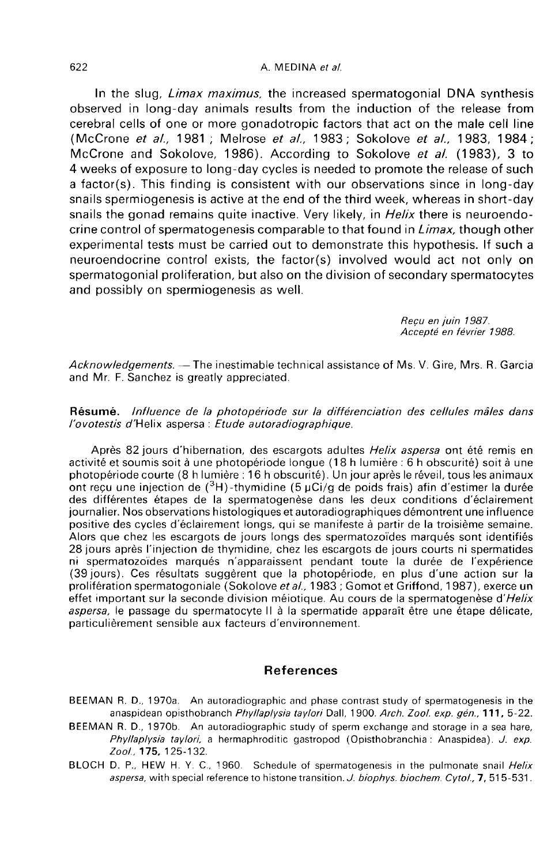### A MEDINA et al.

In the slug, *Limax maximus*, the increased spermatogonial DNA synthesis observed in long-day animals results from the induction of the release from cerebral cells of one or more gonadotropic factors that act on the male cell line (McCrone et al., 1981 ; Melrose et al., 1983; Sokolove et al., 1983, 1984; McCrone and Sokolove, 1986). According to Sokolove et al. (1983), 3 to 4 weeks of exposure to long-day cycles is needed to promote the release of such a factor(s). This finding is consistent with our observations since in long-day snails spermiogenesis is active at the end of the third week, whereas in short-day snails the gonad remains quite inactive. Very likely, in *Helix* there is neuroendocrine control of spermatogenesis comparable to that found in *Limax*, though other experimental tests must be carried out to demonstrate this hypothesis. If such a neuroendocrine control exists, the factor(s) involved would act not only on spermatogonial proliferation, but also on the division of secondary spermatocytes and possibly on spermiogenesis as well.

> Recu en juin 1987. Accepté en février 1988.

Acknowledgements. — The inestimable technical assistance of Ms. V. Gire, Mrs. R. Garcia and Mr. F. Sanchez is greatly appreciated.

Résumé. lnfluence de la photopériode sur la différenciation des cellules mâles dans l'ovotestis d'Helix aspersa : Etude autoradiographique.

Après 82 jours d'hibernation, des escargots adultes Helix aspersa ont été remis en activité et soumis soit à une photopériode longue (18 h lumière : 6 h obscurité) soit à une photopériode courte (8 h lumière : 16 h obscurité). Un jour après le réveil, tous les animaux<br>ont recu une injection de (<sup>3</sup>H)-thymidine (5 µCi/g de poids frais) afin d'estimer la durée **Résumé.** Influence de la photopériode sur la différenciation des cellules mâles dans<br>l'ovotestis d'Helix aspersa : Etude autoradiographique.<br>Après 82 jours d'hibernation, des escargots adultes Helix aspersa ont été remis des différentes étapes de la spermatogenèse dans les deux conditions d'éclairement journalier. Nos observations histologiques et autoradiographiques démontrent une influence positive des cycles d'éclairement longs, qui se manifeste à partir de la troisième semaine. Alors que chez les escargots de jours longs des spermatozoïdes marqués sont identifiés 28 jours après l'injection de thymidine, chez les escargots de jours courts ni spermatides ni spermatozoïdes marqués n'apparaissent pendant toute la durée de l'expérience (39 jours). Ces résultats suggèrent que la photopériode, en plus d'une action sur la prolifération spermatogoniale (Sokolove et al., 1983 ; Gomot et Griffond, 1987), exerce un effet important sur la seconde division méiotique. Au cours de la spermatogenèse d'Helix aspersa, le passage du spermatocyte II à la spermatide apparaît être une étape délicate, particulièrement sensible aux facteurs d'environnement.

## References

BEEMAN R. D., 1970a. An autoradiographic and phase contrast study of spermatogenesis in the anaspidean opisthobranch Phyllaplysia taylori Dall, 1900. Arch. Zool. exp. gén., 111, 5-22.

- BEEMAN R. D., 1970b. An autoradiographic study of sperm exchange and storage in a sea hare, Phyllaplysia taylori, a hermaphroditic gastropod (Opisthobranchia: Anaspidea). J. exp. Zoo/, 175, 125-132.
- BLOCH D. P., HEW H. Y. C., 1960. Schedule of spermatogenesis in the pulmonate snail Helix aspersa, with special reference to histone transition. J. biophys. biochem. Cytol., 7, 515-531.